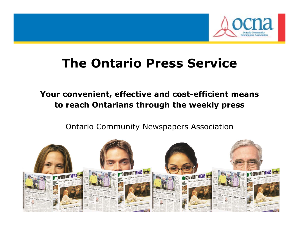

### **The Ontario Press Service**

### **Your convenient, effective and cost-efficient means to reach Ontarians through the weekly press**

Ontario Community Newspapers Association

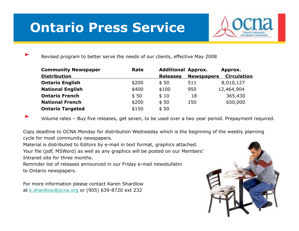# **Ontario Press Service**



Revised program to better serve the needs of our clients, effective May 2008

| <b>Community Newspaper</b> | Rate  | <b>Additional Approx.</b> |                   | Approx.            |
|----------------------------|-------|---------------------------|-------------------|--------------------|
| <b>Distribution</b>        |       | <b>Releases</b>           | <b>Newspapers</b> | <b>Circulation</b> |
| <b>Ontario English</b>     | \$200 | \$50                      | 511               | 8,010,127          |
| <b>National English</b>    | \$400 | \$100                     | 950               | 12,464,904         |
| <b>Ontario French</b>      | \$50  | \$10                      | 18                | 365,430            |
| <b>National French</b>     | \$200 | \$50                      | 150               | 650,000            |
| <b>Ontario Targeted</b>    | \$150 | \$50                      |                   |                    |

Volume rates – Buy five releases, get seven, to be used over a two year period. Prepayment required.

Copy deadline to OCNA Monday for distribution Wednesday which is the beginning of the weekly planning cycle for most community newspapers.

Material is distributed to Editors by e-mail in text format, graphics attached.

Your file (pdf, MSWord) as well as any graphics will be posted on our Members' Intranet site for three months.

Reminder list of releases announced in our Friday e-mail newsbulletin to Ontario newspapers.

For more information please contact Karen Shardlow at <u>k.shardlow@ocna.org</u> or (905) 639-8720 ext 232

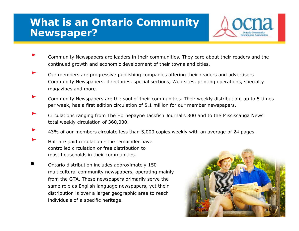### **What is an Ontario Community Newspaper?**



- Community Newspapers are leaders in their communities. They care about their readers and the continued growth and economic development of their towns and cities.
- Our members are progressive publishing companies offering their readers and advertisers Community Newspapers, directories, special sections, Web sites, printing operations, specialty magazines and more.
- Community Newspapers are the soul of their communities. Their weekly distribution, up to 5 times per week, has a first edition circulation of 5.1 million for our member newspapers.
- Circulations ranging from The Hornepayne Jackfish Journal's 300 and to the Mississauga News' total weekly circulation of 360,000.
- 43% of our members circulate less than 5,000 copies weekly with an avera ge of 24 pa ges.
- Half are paid circulation the remainder have controlled circulation or free distribution to most households in their communities.

•

 Ontario distribution includes approximately 150 multicultural community newspapers, operating mainly from the GTA. These newspapers primarily serve the same role as English language newspapers, yet their distribution is over a larger geographic area to reach individuals of a specific heritage.

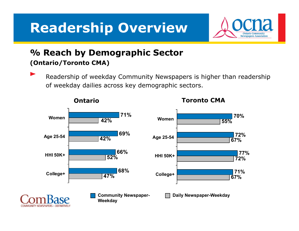# **Readership Overview**



#### **% Reach by Demographic Sector (Ontario/Toronto CMA)**

Readership of weekday Community Newspapers is higher than readership of weekday dailies across key demographic sectors.



**Ontario**

**Toronto CMA**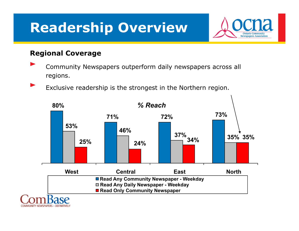# **Readership Overview**



#### **Regional Coverage**

- Community Newspapers outperform daily newspapers across all regions.
	- Exclusive readership is the strongest in the Northern region.